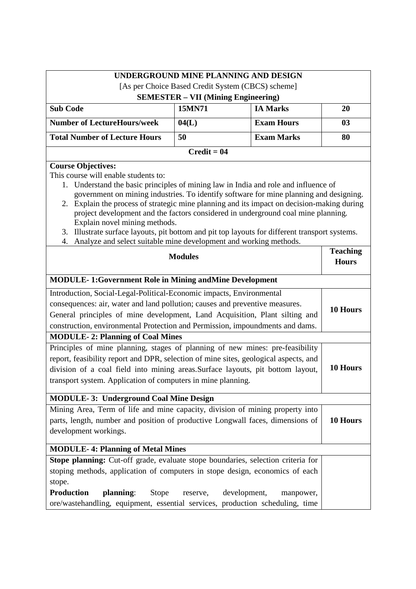|                                                                                                                                                                                                                                                                                                                                                                                                                                                                                                                                                                                                                                                        |                                            | UNDERGROUND MINE PLANNING AND DESIGN              |                                 |
|--------------------------------------------------------------------------------------------------------------------------------------------------------------------------------------------------------------------------------------------------------------------------------------------------------------------------------------------------------------------------------------------------------------------------------------------------------------------------------------------------------------------------------------------------------------------------------------------------------------------------------------------------------|--------------------------------------------|---------------------------------------------------|---------------------------------|
|                                                                                                                                                                                                                                                                                                                                                                                                                                                                                                                                                                                                                                                        |                                            | [As per Choice Based Credit System (CBCS) scheme] |                                 |
|                                                                                                                                                                                                                                                                                                                                                                                                                                                                                                                                                                                                                                                        | <b>SEMESTER - VII (Mining Engineering)</b> |                                                   |                                 |
| <b>Sub Code</b>                                                                                                                                                                                                                                                                                                                                                                                                                                                                                                                                                                                                                                        | 15MN71                                     | <b>IA Marks</b>                                   | 20                              |
| <b>Number of LectureHours/week</b>                                                                                                                                                                                                                                                                                                                                                                                                                                                                                                                                                                                                                     | 04(L)                                      | <b>Exam Hours</b>                                 | 03                              |
| <b>Total Number of Lecture Hours</b>                                                                                                                                                                                                                                                                                                                                                                                                                                                                                                                                                                                                                   | 50                                         | <b>Exam Marks</b>                                 | 80                              |
|                                                                                                                                                                                                                                                                                                                                                                                                                                                                                                                                                                                                                                                        | $Credit = 04$                              |                                                   |                                 |
| <b>Course Objectives:</b><br>This course will enable students to:<br>1. Understand the basic principles of mining law in India and role and influence of<br>government on mining industries. To identify software for mine planning and designing.<br>2. Explain the process of strategic mine planning and its impact on decision-making during<br>project development and the factors considered in underground coal mine planning.<br>Explain novel mining methods.<br>Illustrate surface layouts, pit bottom and pit top layouts for different transport systems.<br>3.<br>Analyze and select suitable mine development and working methods.<br>4. | <b>Modules</b>                             |                                                   | <b>Teaching</b><br><b>Hours</b> |
|                                                                                                                                                                                                                                                                                                                                                                                                                                                                                                                                                                                                                                                        |                                            |                                                   |                                 |
| <b>MODULE-1:Government Role in Mining and Mine Development</b>                                                                                                                                                                                                                                                                                                                                                                                                                                                                                                                                                                                         |                                            |                                                   |                                 |
| Introduction, Social-Legal-Political-Economic impacts, Environmental<br>consequences: air, water and land pollution; causes and preventive measures.<br>General principles of mine development, Land Acquisition, Plant silting and<br>construction, environmental Protection and Permission, impoundments and dams.                                                                                                                                                                                                                                                                                                                                   |                                            | 10 Hours                                          |                                 |
| <b>MODULE-2: Planning of Coal Mines</b>                                                                                                                                                                                                                                                                                                                                                                                                                                                                                                                                                                                                                |                                            |                                                   |                                 |
| Principles of mine planning, stages of planning of new mines: pre-feasibility<br>report, feasibility report and DPR, selection of mine sites, geological aspects, and<br>division of a coal field into mining areas. Surface layouts, pit bottom layout,<br>transport system. Application of computers in mine planning.                                                                                                                                                                                                                                                                                                                               |                                            |                                                   | 10 Hours                        |
| <b>MODULE-3: Underground Coal Mine Design</b>                                                                                                                                                                                                                                                                                                                                                                                                                                                                                                                                                                                                          |                                            |                                                   |                                 |
| Mining Area, Term of life and mine capacity, division of mining property into<br>parts, length, number and position of productive Longwall faces, dimensions of<br>development workings.                                                                                                                                                                                                                                                                                                                                                                                                                                                               |                                            |                                                   | 10 Hours                        |
| <b>MODULE-4: Planning of Metal Mines</b>                                                                                                                                                                                                                                                                                                                                                                                                                                                                                                                                                                                                               |                                            |                                                   |                                 |
| Stope planning: Cut-off grade, evaluate stope boundaries, selection criteria for<br>stoping methods, application of computers in stope design, economics of each<br>stope.<br><b>Production</b><br>planning:<br><b>Stope</b><br>ore/wastehandling, equipment, essential services, production scheduling, time                                                                                                                                                                                                                                                                                                                                          | reserve,                                   | development,<br>manpower,                         |                                 |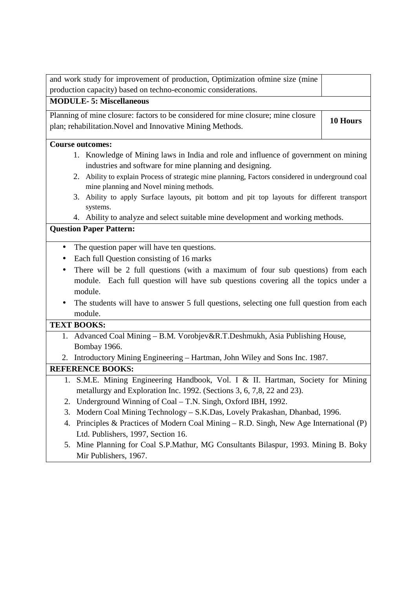| and work study for improvement of production, Optimization ofmine size (mine                                                                |          |  |
|---------------------------------------------------------------------------------------------------------------------------------------------|----------|--|
| production capacity) based on techno-economic considerations.                                                                               |          |  |
| <b>MODULE-5: Miscellaneous</b>                                                                                                              |          |  |
| Planning of mine closure: factors to be considered for mine closure; mine closure                                                           |          |  |
| plan; rehabilitation. Novel and Innovative Mining Methods.                                                                                  | 10 Hours |  |
| <b>Course outcomes:</b>                                                                                                                     |          |  |
| 1. Knowledge of Mining laws in India and role and influence of government on mining                                                         |          |  |
| industries and software for mine planning and designing.                                                                                    |          |  |
| 2. Ability to explain Process of strategic mine planning, Factors considered in underground coal<br>mine planning and Novel mining methods. |          |  |
| 3. Ability to apply Surface layouts, pit bottom and pit top layouts for different transport                                                 |          |  |
| systems.                                                                                                                                    |          |  |
| 4. Ability to analyze and select suitable mine development and working methods.                                                             |          |  |
| <b>Question Paper Pattern:</b>                                                                                                              |          |  |
| The question paper will have ten questions.<br>$\bullet$                                                                                    |          |  |
| Each full Question consisting of 16 marks                                                                                                   |          |  |
| There will be 2 full questions (with a maximum of four sub questions) from each                                                             |          |  |
| module. Each full question will have sub questions covering all the topics under a                                                          |          |  |
| module.                                                                                                                                     |          |  |
| The students will have to answer 5 full questions, selecting one full question from each                                                    |          |  |
| module.                                                                                                                                     |          |  |
| <b>TEXT BOOKS:</b>                                                                                                                          |          |  |
| 1. Advanced Coal Mining - B.M. Vorobjev&R.T.Deshmukh, Asia Publishing House,                                                                |          |  |
| Bombay 1966.                                                                                                                                |          |  |
| 2. Introductory Mining Engineering - Hartman, John Wiley and Sons Inc. 1987.                                                                |          |  |
| <b>REFERENCE BOOKS:</b>                                                                                                                     |          |  |
| 1. S.M.E. Mining Engineering Handbook, Vol. I & II. Hartman, Society for Mining                                                             |          |  |
| metallurgy and Exploration Inc. 1992. (Sections 3, 6, 7,8, 22 and 23).                                                                      |          |  |
| Underground Winning of Coal – T.N. Singh, Oxford IBH, 1992.<br>2.                                                                           |          |  |
| Modern Coal Mining Technology - S.K.Das, Lovely Prakashan, Dhanbad, 1996.<br>3.                                                             |          |  |
| Principles & Practices of Modern Coal Mining – R.D. Singh, New Age International (P)<br>4.                                                  |          |  |
| Ltd. Publishers, 1997, Section 16.                                                                                                          |          |  |
| Mine Planning for Coal S.P.Mathur, MG Consultants Bilaspur, 1993. Mining B. Boky<br>5.                                                      |          |  |

Mir Publishers, 1967.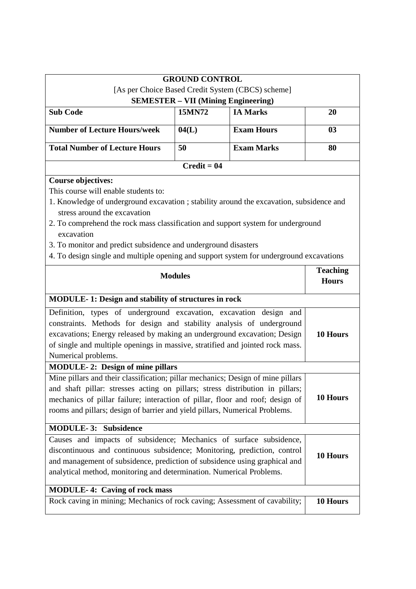|                                                                                                                                                                                                                                                                                                                                  | <b>GROUND CONTROL</b> |                                                   |          |  |
|----------------------------------------------------------------------------------------------------------------------------------------------------------------------------------------------------------------------------------------------------------------------------------------------------------------------------------|-----------------------|---------------------------------------------------|----------|--|
|                                                                                                                                                                                                                                                                                                                                  |                       | [As per Choice Based Credit System (CBCS) scheme] |          |  |
| <b>SEMESTER - VII (Mining Engineering)</b><br><b>Sub Code</b><br>15MN72<br><b>IA Marks</b><br>20                                                                                                                                                                                                                                 |                       |                                                   |          |  |
|                                                                                                                                                                                                                                                                                                                                  |                       |                                                   |          |  |
| <b>Number of Lecture Hours/week</b>                                                                                                                                                                                                                                                                                              | 04(L)                 | <b>Exam Hours</b>                                 | 03       |  |
| <b>Total Number of Lecture Hours</b>                                                                                                                                                                                                                                                                                             | 50                    | <b>Exam Marks</b>                                 | 80       |  |
|                                                                                                                                                                                                                                                                                                                                  | $Credit = 04$         |                                                   |          |  |
| <b>Course objectives:</b><br>This course will enable students to:                                                                                                                                                                                                                                                                |                       |                                                   |          |  |
| 1. Knowledge of underground excavation ; stability around the excavation, subsidence and                                                                                                                                                                                                                                         |                       |                                                   |          |  |
| stress around the excavation<br>2. To comprehend the rock mass classification and support system for underground<br>excavation                                                                                                                                                                                                   |                       |                                                   |          |  |
| 3. To monitor and predict subsidence and underground disasters                                                                                                                                                                                                                                                                   |                       |                                                   |          |  |
| 4. To design single and multiple opening and support system for underground excavations                                                                                                                                                                                                                                          |                       |                                                   |          |  |
| <b>Modules</b>                                                                                                                                                                                                                                                                                                                   |                       | <b>Teaching</b><br><b>Hours</b>                   |          |  |
| <b>MODULE-1: Design and stability of structures in rock</b>                                                                                                                                                                                                                                                                      |                       |                                                   |          |  |
| Definition, types of underground excavation, excavation design and<br>constraints. Methods for design and stability analysis of underground<br>excavations; Energy released by making an underground excavation; Design<br>of single and multiple openings in massive, stratified and jointed rock mass.<br>Numerical problems.  |                       | 10 Hours                                          |          |  |
| <b>MODULE-2: Design of mine pillars</b>                                                                                                                                                                                                                                                                                          |                       |                                                   |          |  |
| Mine pillars and their classification; pillar mechanics; Design of mine pillars<br>and shaft pillar: stresses acting on pillars; stress distribution in pillars;<br>mechanics of pillar failure; interaction of pillar, floor and roof; design of<br>rooms and pillars; design of barrier and yield pillars, Numerical Problems. |                       |                                                   | 10 Hours |  |
| <b>MODULE-3: Subsidence</b>                                                                                                                                                                                                                                                                                                      |                       |                                                   |          |  |
| Causes and impacts of subsidence; Mechanics of surface subsidence,<br>discontinuous and continuous subsidence; Monitoring, prediction, control<br>and management of subsidence, prediction of subsidence using graphical and<br>analytical method, monitoring and determination. Numerical Problems.                             |                       |                                                   | 10 Hours |  |
| <b>MODULE-4: Caving of rock mass</b>                                                                                                                                                                                                                                                                                             |                       |                                                   |          |  |
| Rock caving in mining; Mechanics of rock caving; Assessment of cavability;                                                                                                                                                                                                                                                       |                       |                                                   | 10 Hours |  |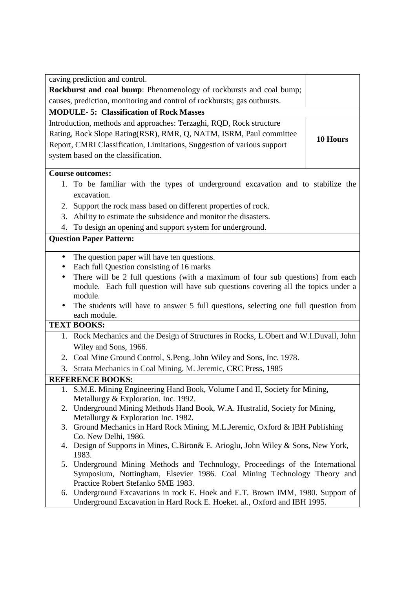|                                                                                     | caving prediction and control.                                                                                                                            |          |  |
|-------------------------------------------------------------------------------------|-----------------------------------------------------------------------------------------------------------------------------------------------------------|----------|--|
|                                                                                     | Rockburst and coal bump: Phenomenology of rockbursts and coal bump;                                                                                       |          |  |
|                                                                                     | causes, prediction, monitoring and control of rockbursts; gas outbursts.                                                                                  |          |  |
|                                                                                     | <b>MODULE-5: Classification of Rock Masses</b>                                                                                                            |          |  |
|                                                                                     | Introduction, methods and approaches: Terzaghi, RQD, Rock structure                                                                                       |          |  |
|                                                                                     | Rating, Rock Slope Rating(RSR), RMR, Q, NATM, ISRM, Paul committee                                                                                        |          |  |
|                                                                                     | Report, CMRI Classification, Limitations, Suggestion of various support                                                                                   | 10 Hours |  |
|                                                                                     | system based on the classification.                                                                                                                       |          |  |
|                                                                                     |                                                                                                                                                           |          |  |
|                                                                                     | <b>Course outcomes:</b>                                                                                                                                   |          |  |
|                                                                                     | 1. To be familiar with the types of underground excavation and to stabilize the                                                                           |          |  |
|                                                                                     | excavation.                                                                                                                                               |          |  |
| 2.                                                                                  | Support the rock mass based on different properties of rock.                                                                                              |          |  |
| 3.                                                                                  | Ability to estimate the subsidence and monitor the disasters.                                                                                             |          |  |
| 4.                                                                                  | To design an opening and support system for underground.                                                                                                  |          |  |
|                                                                                     | <b>Question Paper Pattern:</b>                                                                                                                            |          |  |
| $\bullet$                                                                           | The question paper will have ten questions.                                                                                                               |          |  |
| $\bullet$                                                                           | Each full Question consisting of 16 marks                                                                                                                 |          |  |
| $\bullet$                                                                           | There will be 2 full questions (with a maximum of four sub questions) from each                                                                           |          |  |
|                                                                                     | module. Each full question will have sub questions covering all the topics under a                                                                        |          |  |
|                                                                                     | module.                                                                                                                                                   |          |  |
| The students will have to answer 5 full questions, selecting one full question from |                                                                                                                                                           |          |  |
|                                                                                     | each module.<br><b>TEXT BOOKS:</b>                                                                                                                        |          |  |
|                                                                                     | 1. Rock Mechanics and the Design of Structures in Rocks, L.Obert and W.I.Duvall, John                                                                     |          |  |
|                                                                                     | Wiley and Sons, 1966.                                                                                                                                     |          |  |
|                                                                                     |                                                                                                                                                           |          |  |
| 3.                                                                                  | 2. Coal Mine Ground Control, S.Peng, John Wiley and Sons, Inc. 1978.<br>Strata Mechanics in Coal Mining, M. Jeremic, CRC Press, 1985                      |          |  |
|                                                                                     |                                                                                                                                                           |          |  |
|                                                                                     | <b>REFERENCE BOOKS:</b><br>1. S.M.E. Mining Engineering Hand Book, Volume I and II, Society for Mining,                                                   |          |  |
|                                                                                     | Metallurgy & Exploration. Inc. 1992.                                                                                                                      |          |  |
|                                                                                     | 2. Underground Mining Methods Hand Book, W.A. Hustralid, Society for Mining,                                                                              |          |  |
|                                                                                     | Metallurgy & Exploration Inc. 1982.                                                                                                                       |          |  |
|                                                                                     | 3. Ground Mechanics in Hard Rock Mining, M.L.Jeremic, Oxford & IBH Publishing                                                                             |          |  |
|                                                                                     | Co. New Delhi, 1986.                                                                                                                                      |          |  |
| 4.                                                                                  | Design of Supports in Mines, C.Biron& E. Arioglu, John Wiley & Sons, New York,                                                                            |          |  |
|                                                                                     | 1983.                                                                                                                                                     |          |  |
|                                                                                     | 5. Underground Mining Methods and Technology, Proceedings of the International<br>Symposium, Nottingham, Elsevier 1986. Coal Mining Technology Theory and |          |  |
|                                                                                     | Practice Robert Stefanko SME 1983.                                                                                                                        |          |  |
| 6.                                                                                  | Underground Excavations in rock E. Hoek and E.T. Brown IMM, 1980. Support of                                                                              |          |  |
|                                                                                     | Underground Excavation in Hard Rock E. Hoeket. al., Oxford and IBH 1995.                                                                                  |          |  |
|                                                                                     |                                                                                                                                                           |          |  |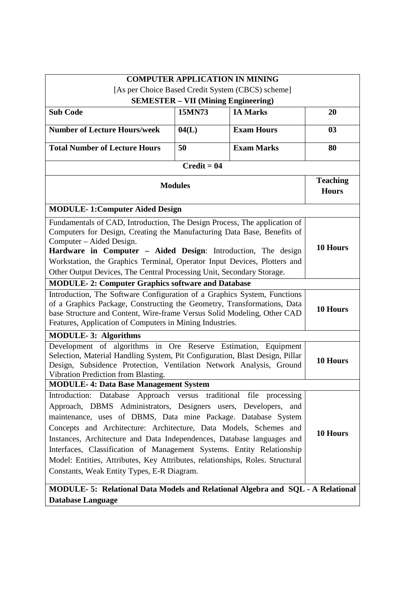| <b>COMPUTER APPLICATION IN MINING</b>                                                                                                                                                                                                                                                                                                                                                                                                                                                                                                                         |                                              |                   |                                 |  |
|---------------------------------------------------------------------------------------------------------------------------------------------------------------------------------------------------------------------------------------------------------------------------------------------------------------------------------------------------------------------------------------------------------------------------------------------------------------------------------------------------------------------------------------------------------------|----------------------------------------------|-------------------|---------------------------------|--|
| [As per Choice Based Credit System (CBCS) scheme]                                                                                                                                                                                                                                                                                                                                                                                                                                                                                                             |                                              |                   |                                 |  |
| <b>SEMESTER – VII (Mining Engineering)</b>                                                                                                                                                                                                                                                                                                                                                                                                                                                                                                                    |                                              |                   |                                 |  |
|                                                                                                                                                                                                                                                                                                                                                                                                                                                                                                                                                               | 15MN73<br><b>IA Marks</b><br><b>Sub Code</b> |                   |                                 |  |
| <b>Number of Lecture Hours/week</b>                                                                                                                                                                                                                                                                                                                                                                                                                                                                                                                           | 04(L)                                        | <b>Exam Hours</b> | 03                              |  |
| <b>Total Number of Lecture Hours</b>                                                                                                                                                                                                                                                                                                                                                                                                                                                                                                                          | 50                                           | <b>Exam Marks</b> | 80                              |  |
|                                                                                                                                                                                                                                                                                                                                                                                                                                                                                                                                                               | $Credit = 04$                                |                   |                                 |  |
|                                                                                                                                                                                                                                                                                                                                                                                                                                                                                                                                                               | <b>Modules</b>                               |                   | <b>Teaching</b><br><b>Hours</b> |  |
| <b>MODULE-1:Computer Aided Design</b>                                                                                                                                                                                                                                                                                                                                                                                                                                                                                                                         |                                              |                   |                                 |  |
| Fundamentals of CAD, Introduction, The Design Process, The application of<br>Computers for Design, Creating the Manufacturing Data Base, Benefits of<br>Computer – Aided Design.<br>Hardware in Computer - Aided Design: Introduction, The design<br>Workstation, the Graphics Terminal, Operator Input Devices, Plotters and<br>Other Output Devices, The Central Processing Unit, Secondary Storage.                                                                                                                                                        |                                              | 10 Hours          |                                 |  |
| <b>MODULE-2: Computer Graphics software and Database</b>                                                                                                                                                                                                                                                                                                                                                                                                                                                                                                      |                                              |                   |                                 |  |
| Introduction, The Software Configuration of a Graphics System, Functions<br>of a Graphics Package, Constructing the Geometry, Transformations, Data<br>base Structure and Content, Wire-frame Versus Solid Modeling, Other CAD<br>Features, Application of Computers in Mining Industries.                                                                                                                                                                                                                                                                    |                                              | 10 Hours          |                                 |  |
| <b>MODULE-3: Algorithms</b>                                                                                                                                                                                                                                                                                                                                                                                                                                                                                                                                   |                                              |                   |                                 |  |
| Development of algorithms in Ore Reserve Estimation, Equipment<br>Selection, Material Handling System, Pit Configuration, Blast Design, Pillar<br>Design, Subsidence Protection, Ventilation Network Analysis, Ground<br>Vibration Prediction from Blasting.                                                                                                                                                                                                                                                                                                  |                                              | 10 Hours          |                                 |  |
| <b>MODULE-4: Data Base Management System</b>                                                                                                                                                                                                                                                                                                                                                                                                                                                                                                                  |                                              |                   |                                 |  |
| Introduction: Database Approach versus traditional file processing<br>Approach, DBMS Administrators, Designers users, Developers, and<br>maintenance, uses of DBMS, Data mine Package. Database System<br>Concepts and Architecture: Architecture, Data Models, Schemes and<br>Instances, Architecture and Data Independences, Database languages and<br>Interfaces, Classification of Management Systems. Entity Relationship<br>Model: Entities, Attributes, Key Attributes, relationships, Roles. Structural<br>Constants, Weak Entity Types, E-R Diagram. |                                              |                   | 10 Hours                        |  |
| MODULE- 5: Relational Data Models and Relational Algebra and SQL - A Relational<br><b>Database Language</b>                                                                                                                                                                                                                                                                                                                                                                                                                                                   |                                              |                   |                                 |  |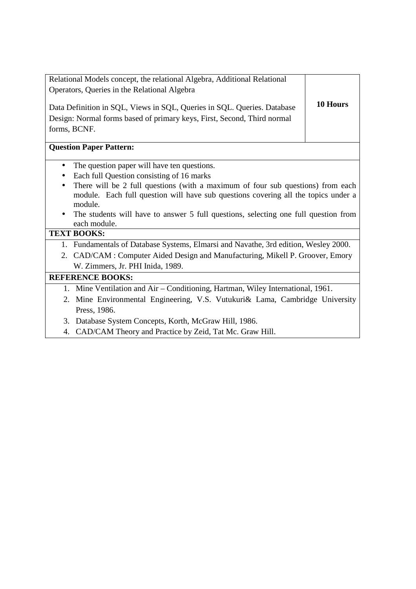|                                                                                                                  | Relational Models concept, the relational Algebra, Additional Relational                                                                                           |          |  |
|------------------------------------------------------------------------------------------------------------------|--------------------------------------------------------------------------------------------------------------------------------------------------------------------|----------|--|
|                                                                                                                  | Operators, Queries in the Relational Algebra                                                                                                                       |          |  |
|                                                                                                                  | Data Definition in SQL, Views in SQL, Queries in SQL. Queries. Database<br>Design: Normal forms based of primary keys, First, Second, Third normal<br>forms, BCNF. | 10 Hours |  |
|                                                                                                                  | <b>Question Paper Pattern:</b>                                                                                                                                     |          |  |
| $\bullet$                                                                                                        | The question paper will have ten questions.                                                                                                                        |          |  |
| $\bullet$                                                                                                        | Each full Question consisting of 16 marks                                                                                                                          |          |  |
| $\bullet$                                                                                                        | There will be 2 full questions (with a maximum of four sub questions) from each                                                                                    |          |  |
| module. Each full question will have sub questions covering all the topics under a<br>module.                    |                                                                                                                                                                    |          |  |
| The students will have to answer 5 full questions, selecting one full question from<br>$\bullet$<br>each module. |                                                                                                                                                                    |          |  |
|                                                                                                                  | <b>TEXT BOOKS:</b>                                                                                                                                                 |          |  |
|                                                                                                                  | 1. Fundamentals of Database Systems, Elmarsi and Navathe, 3rd edition, Wesley 2000.                                                                                |          |  |
|                                                                                                                  | 2. CAD/CAM: Computer Aided Design and Manufacturing, Mikell P. Groover, Emory                                                                                      |          |  |
| W. Zimmers, Jr. PHI Inida, 1989.                                                                                 |                                                                                                                                                                    |          |  |
|                                                                                                                  | <b>REFERENCE BOOKS:</b>                                                                                                                                            |          |  |
|                                                                                                                  | 1. Mine Ventilation and Air – Conditioning, Hartman, Wiley International, 1961.                                                                                    |          |  |
|                                                                                                                  | 2. Mine Environmental Engineering, V.S. Vutukuri& Lama, Cambridge University                                                                                       |          |  |
|                                                                                                                  | Press, 1986.                                                                                                                                                       |          |  |

- 3. Database System Concepts, Korth, McGraw Hill, 1986.
- 4. CAD/CAM Theory and Practice by Zeid, Tat Mc. Graw Hill.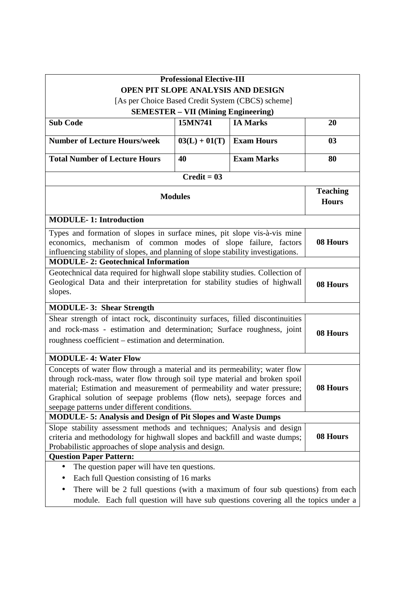|                                                                                                                                                                                                                                                                                                                                                                           | <b>Professional Elective-III</b>           |                                                   |          |
|---------------------------------------------------------------------------------------------------------------------------------------------------------------------------------------------------------------------------------------------------------------------------------------------------------------------------------------------------------------------------|--------------------------------------------|---------------------------------------------------|----------|
|                                                                                                                                                                                                                                                                                                                                                                           |                                            | OPEN PIT SLOPE ANALYSIS AND DESIGN                |          |
|                                                                                                                                                                                                                                                                                                                                                                           |                                            | [As per Choice Based Credit System (CBCS) scheme] |          |
|                                                                                                                                                                                                                                                                                                                                                                           | <b>SEMESTER - VII (Mining Engineering)</b> |                                                   |          |
| <b>Sub Code</b>                                                                                                                                                                                                                                                                                                                                                           | 15MN741                                    | <b>IA Marks</b>                                   | 20       |
| <b>Number of Lecture Hours/week</b>                                                                                                                                                                                                                                                                                                                                       | $03(L) + 01(T)$                            | <b>Exam Hours</b>                                 | 03       |
| <b>Total Number of Lecture Hours</b>                                                                                                                                                                                                                                                                                                                                      | 40                                         | <b>Exam Marks</b>                                 | 80       |
|                                                                                                                                                                                                                                                                                                                                                                           | $Credit = 03$                              |                                                   |          |
| <b>Modules</b>                                                                                                                                                                                                                                                                                                                                                            |                                            | <b>Teaching</b><br><b>Hours</b>                   |          |
| <b>MODULE-1: Introduction</b>                                                                                                                                                                                                                                                                                                                                             |                                            |                                                   |          |
| Types and formation of slopes in surface mines, pit slope vis-à-vis mine<br>economics, mechanism of common modes of slope failure, factors<br>08 Hours<br>influencing stability of slopes, and planning of slope stability investigations.                                                                                                                                |                                            |                                                   |          |
| <b>MODULE-2: Geotechnical Information</b>                                                                                                                                                                                                                                                                                                                                 |                                            |                                                   |          |
| Geotechnical data required for highwall slope stability studies. Collection of<br>Geological Data and their interpretation for stability studies of highwall<br>slopes.                                                                                                                                                                                                   |                                            | 08 Hours                                          |          |
| <b>MODULE-3: Shear Strength</b>                                                                                                                                                                                                                                                                                                                                           |                                            |                                                   |          |
| Shear strength of intact rock, discontinuity surfaces, filled discontinuities<br>and rock-mass - estimation and determination; Surface roughness, joint<br>roughness coefficient - estimation and determination.                                                                                                                                                          |                                            | 08 Hours                                          |          |
| <b>MODULE-4: Water Flow</b>                                                                                                                                                                                                                                                                                                                                               |                                            |                                                   |          |
| Concepts of water flow through a material and its permeability; water flow<br>through rock-mass, water flow through soil type material and broken spoil<br>08 Hours<br>material; Estimation and measurement of permeability and water pressure;<br>Graphical solution of seepage problems (flow nets), seepage forces and<br>seepage patterns under different conditions. |                                            |                                                   |          |
| <b>MODULE-5: Analysis and Design of Pit Slopes and Waste Dumps</b>                                                                                                                                                                                                                                                                                                        |                                            |                                                   |          |
| Slope stability assessment methods and techniques; Analysis and design<br>criteria and methodology for highwall slopes and backfill and waste dumps;<br>Probabilistic approaches of slope analysis and design.                                                                                                                                                            |                                            |                                                   | 08 Hours |
| <b>Question Paper Pattern:</b>                                                                                                                                                                                                                                                                                                                                            |                                            |                                                   |          |
| The question paper will have ten questions.                                                                                                                                                                                                                                                                                                                               |                                            |                                                   |          |
| Each full Question consisting of 16 marks                                                                                                                                                                                                                                                                                                                                 |                                            |                                                   |          |
| There will be 2 full questions (with a maximum of four sub questions) from each<br>module. Each full question will have sub questions covering all the topics under a                                                                                                                                                                                                     |                                            |                                                   |          |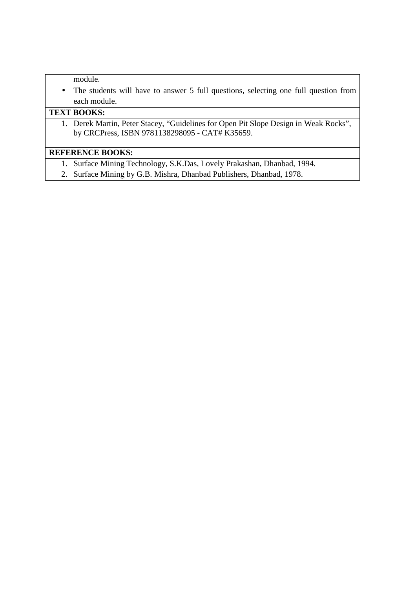module.

• The students will have to answer 5 full questions, selecting one full question from each module.

## **TEXT BOOKS:**

1. Derek Martin, Peter Stacey, "Guidelines for Open Pit Slope Design in Weak Rocks", by CRCPress, ISBN 9781138298095 - CAT# K35659.

# **REFERENCE BOOKS:**

- 1. Surface Mining Technology, S.K.Das, Lovely Prakashan, Dhanbad, 1994.
- 2. Surface Mining by G.B. Mishra, Dhanbad Publishers, Dhanbad, 1978.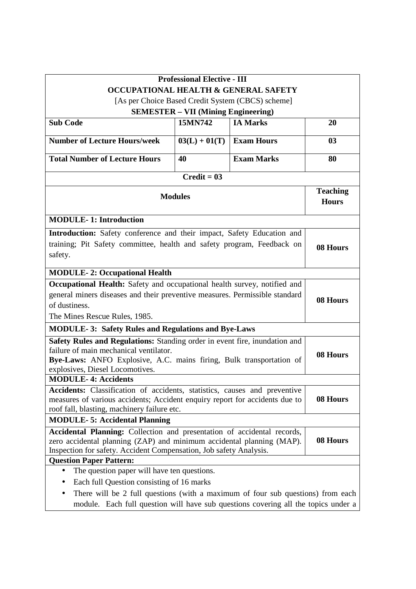| <b>Professional Elective - III</b>                                                                                                          |                                            |                                                   |          |
|---------------------------------------------------------------------------------------------------------------------------------------------|--------------------------------------------|---------------------------------------------------|----------|
|                                                                                                                                             |                                            | OCCUPATIONAL HEALTH & GENERAL SAFETY              |          |
|                                                                                                                                             |                                            | [As per Choice Based Credit System (CBCS) scheme] |          |
|                                                                                                                                             | <b>SEMESTER – VII (Mining Engineering)</b> |                                                   |          |
| <b>Sub Code</b>                                                                                                                             | 15MN742                                    | <b>IA Marks</b>                                   | 20       |
| <b>Number of Lecture Hours/week</b>                                                                                                         | $03(L) + 01(T)$                            | <b>Exam Hours</b>                                 | 03       |
| <b>Total Number of Lecture Hours</b>                                                                                                        | 40                                         | <b>Exam Marks</b>                                 | 80       |
|                                                                                                                                             | $Credit = 03$                              |                                                   |          |
| <b>Modules</b>                                                                                                                              |                                            | <b>Teaching</b><br><b>Hours</b>                   |          |
| <b>MODULE-1: Introduction</b>                                                                                                               |                                            |                                                   |          |
| Introduction: Safety conference and their impact, Safety Education and                                                                      |                                            |                                                   |          |
| training; Pit Safety committee, health and safety program, Feedback on<br>safety.                                                           |                                            | 08 Hours                                          |          |
| <b>MODULE-2: Occupational Health</b>                                                                                                        |                                            |                                                   |          |
| Occupational Health: Safety and occupational health survey, notified and                                                                    |                                            |                                                   |          |
| general miners diseases and their preventive measures. Permissible standard                                                                 |                                            |                                                   | 08 Hours |
| of dustiness.                                                                                                                               |                                            |                                                   |          |
| The Mines Rescue Rules, 1985.                                                                                                               |                                            |                                                   |          |
| <b>MODULE-3: Safety Rules and Regulations and Bye-Laws</b>                                                                                  |                                            |                                                   |          |
| Safety Rules and Regulations: Standing order in event fire, inundation and                                                                  |                                            |                                                   |          |
| failure of main mechanical ventilator.                                                                                                      |                                            |                                                   | 08 Hours |
| Bye-Laws: ANFO Explosive, A.C. mains firing, Bulk transportation of                                                                         |                                            |                                                   |          |
| explosives, Diesel Locomotives.                                                                                                             |                                            |                                                   |          |
| <b>MODULE-4: Accidents</b><br>Accidents: Classification of accidents, statistics, causes and preventive                                     |                                            |                                                   |          |
|                                                                                                                                             |                                            |                                                   | 08 Hours |
| measures of various accidents; Accident enquiry report for accidents due to<br>roof fall, blasting, machinery failure etc.                  |                                            |                                                   |          |
| <b>MODULE-5: Accidental Planning</b>                                                                                                        |                                            |                                                   |          |
| Accidental Planning: Collection and presentation of accidental records,                                                                     |                                            |                                                   |          |
| zero accidental planning (ZAP) and minimum accidental planning (MAP).<br>Inspection for safety. Accident Compensation, Job safety Analysis. |                                            | 08 Hours                                          |          |
| <b>Question Paper Pattern:</b>                                                                                                              |                                            |                                                   |          |
| The question paper will have ten questions.                                                                                                 |                                            |                                                   |          |
| Each full Question consisting of 16 marks                                                                                                   |                                            |                                                   |          |
| There will be 2 full questions (with a maximum of four sub questions) from each                                                             |                                            |                                                   |          |
| module. Each full question will have sub questions covering all the topics under a                                                          |                                            |                                                   |          |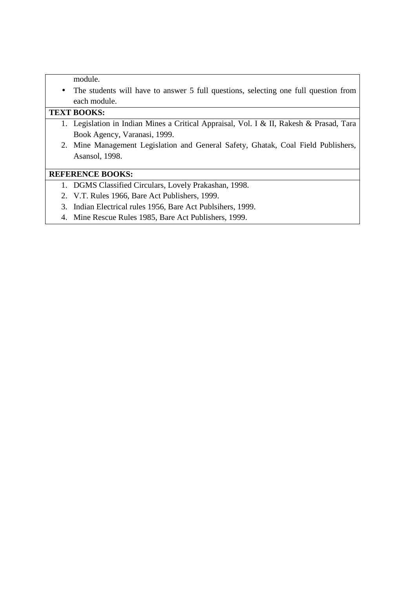module.

• The students will have to answer 5 full questions, selecting one full question from each module.

# **TEXT BOOKS:**

- 1. Legislation in Indian Mines a Critical Appraisal, Vol. I & II, Rakesh & Prasad, Tara Book Agency, Varanasi, 1999.
- 2. Mine Management Legislation and General Safety, Ghatak, Coal Field Publishers, Asansol, 1998.

#### **REFERENCE BOOKS:**

- 1. DGMS Classified Circulars, Lovely Prakashan, 1998.
- 2. V.T. Rules 1966, Bare Act Publishers, 1999.
- 3. Indian Electrical rules 1956, Bare Act Publsihers, 1999.
- 4. Mine Rescue Rules 1985, Bare Act Publishers, 1999.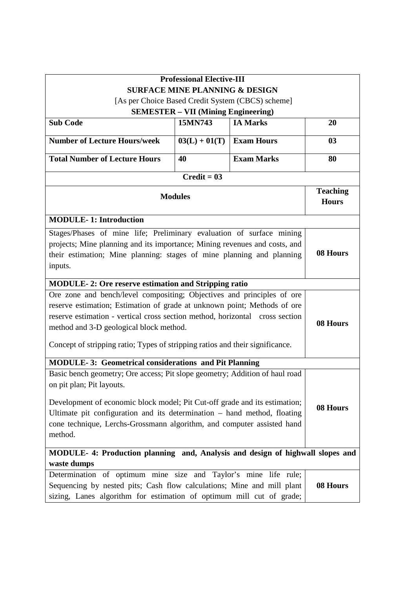|                                                                                                                                                                                                                                                                                                                                                                | <b>Professional Elective-III</b>                      |                                                   |                                 |
|----------------------------------------------------------------------------------------------------------------------------------------------------------------------------------------------------------------------------------------------------------------------------------------------------------------------------------------------------------------|-------------------------------------------------------|---------------------------------------------------|---------------------------------|
|                                                                                                                                                                                                                                                                                                                                                                | <b>SURFACE MINE PLANNING &amp; DESIGN</b>             |                                                   |                                 |
|                                                                                                                                                                                                                                                                                                                                                                |                                                       | [As per Choice Based Credit System (CBCS) scheme] |                                 |
| <b>Sub Code</b>                                                                                                                                                                                                                                                                                                                                                | <b>SEMESTER - VII (Mining Engineering)</b><br>15MN743 | <b>IA Marks</b>                                   | 20                              |
|                                                                                                                                                                                                                                                                                                                                                                |                                                       |                                                   |                                 |
| <b>Number of Lecture Hours/week</b>                                                                                                                                                                                                                                                                                                                            | $03(L) + 01(T)$                                       | <b>Exam Hours</b>                                 | 03                              |
| <b>Total Number of Lecture Hours</b>                                                                                                                                                                                                                                                                                                                           | 40                                                    | <b>Exam Marks</b>                                 | 80                              |
|                                                                                                                                                                                                                                                                                                                                                                | $Credit = 03$                                         |                                                   |                                 |
|                                                                                                                                                                                                                                                                                                                                                                | <b>Modules</b>                                        |                                                   | <b>Teaching</b><br><b>Hours</b> |
| <b>MODULE-1: Introduction</b>                                                                                                                                                                                                                                                                                                                                  |                                                       |                                                   |                                 |
| Stages/Phases of mine life; Preliminary evaluation of surface mining<br>projects; Mine planning and its importance; Mining revenues and costs, and<br>their estimation; Mine planning: stages of mine planning and planning<br>inputs.                                                                                                                         |                                                       |                                                   | 08 Hours                        |
| <b>MODULE-2: Ore reserve estimation and Stripping ratio</b>                                                                                                                                                                                                                                                                                                    |                                                       |                                                   |                                 |
| Ore zone and bench/level compositing; Objectives and principles of ore<br>reserve estimation; Estimation of grade at unknown point; Methods of ore<br>reserve estimation - vertical cross section method, horizontal cross section<br>method and 3-D geological block method.<br>Concept of stripping ratio; Types of stripping ratios and their significance. |                                                       | 08 Hours                                          |                                 |
| <b>MODULE-3: Geometrical considerations and Pit Planning</b>                                                                                                                                                                                                                                                                                                   |                                                       |                                                   |                                 |
| Basic bench geometry; Ore access; Pit slope geometry; Addition of haul road<br>on pit plan; Pit layouts.<br>Development of economic block model; Pit Cut-off grade and its estimation;<br>Ultimate pit configuration and its determination - hand method, floating<br>cone technique, Lerchs-Grossmann algorithm, and computer assisted hand<br>method.        |                                                       |                                                   | 08 Hours                        |
| MODULE- 4: Production planning and, Analysis and design of highwall slopes and<br>waste dumps                                                                                                                                                                                                                                                                  |                                                       |                                                   |                                 |
| Determination of optimum mine size and Taylor's mine life rule;<br>Sequencing by nested pits; Cash flow calculations; Mine and mill plant<br>sizing, Lanes algorithm for estimation of optimum mill cut of grade;                                                                                                                                              |                                                       |                                                   | 08 Hours                        |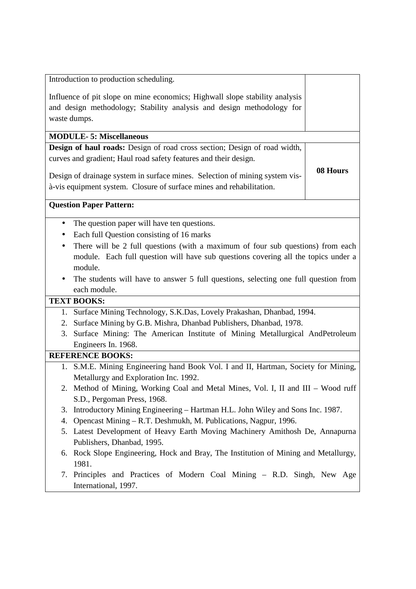|           | Introduction to production scheduling.                                              |          |  |
|-----------|-------------------------------------------------------------------------------------|----------|--|
|           | Influence of pit slope on mine economics; Highwall slope stability analysis         |          |  |
|           | and design methodology; Stability analysis and design methodology for               |          |  |
|           | waste dumps.                                                                        |          |  |
|           |                                                                                     |          |  |
|           | <b>MODULE-5: Miscellaneous</b>                                                      |          |  |
|           | Design of haul roads: Design of road cross section; Design of road width,           |          |  |
|           | curves and gradient; Haul road safety features and their design.                    |          |  |
|           | Design of drainage system in surface mines. Selection of mining system vis-         | 08 Hours |  |
|           | à-vis equipment system. Closure of surface mines and rehabilitation.                |          |  |
|           |                                                                                     |          |  |
|           | <b>Question Paper Pattern:</b>                                                      |          |  |
|           | The question paper will have ten questions.                                         |          |  |
| $\bullet$ | Each full Question consisting of 16 marks                                           |          |  |
| ٠         | There will be 2 full questions (with a maximum of four sub questions) from each     |          |  |
|           | module. Each full question will have sub questions covering all the topics under a  |          |  |
|           | module.                                                                             |          |  |
|           | The students will have to answer 5 full questions, selecting one full question from |          |  |
|           | each module.                                                                        |          |  |
|           | <b>TEXT BOOKS:</b>                                                                  |          |  |
|           | 1. Surface Mining Technology, S.K.Das, Lovely Prakashan, Dhanbad, 1994.             |          |  |
|           | 2. Surface Mining by G.B. Mishra, Dhanbad Publishers, Dhanbad, 1978.                |          |  |
|           | 3. Surface Mining: The American Institute of Mining Metallurgical AndPetroleum      |          |  |
|           | Engineers In. 1968.                                                                 |          |  |
|           | <b>REFERENCE BOOKS:</b>                                                             |          |  |
|           | 1. S.M.E. Mining Engineering hand Book Vol. I and II, Hartman, Society for Mining,  |          |  |
|           | Metallurgy and Exploration Inc. 1992.                                               |          |  |
|           | 2. Method of Mining, Working Coal and Metal Mines, Vol. I, II and III - Wood ruff   |          |  |
|           | S.D., Pergoman Press, 1968.                                                         |          |  |
| 3.        | Introductory Mining Engineering – Hartman H.L. John Wiley and Sons Inc. 1987.       |          |  |
| 4.        | Opencast Mining – R.T. Deshmukh, M. Publications, Nagpur, 1996.                     |          |  |
|           | 5. Latest Development of Heavy Earth Moving Machinery Amithosh De, Annapurna        |          |  |
|           | Publishers, Dhanbad, 1995.                                                          |          |  |
|           |                                                                                     |          |  |

- 6. Rock Slope Engineering, Hock and Bray, The Institution of Mining and Metallurgy, 1981.
- 7. Principles and Practices of Modern Coal Mining R.D. Singh, New Age International, 1997.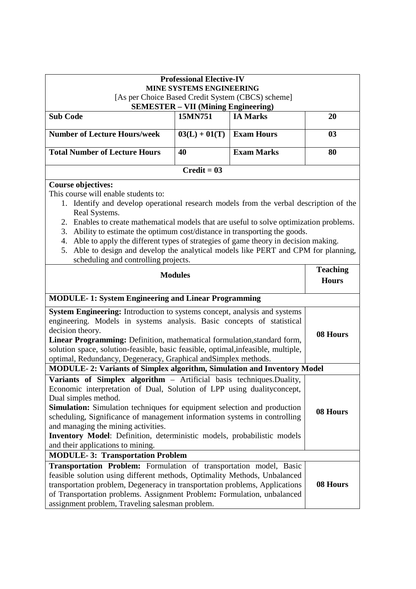|                                                                                                                                                                            | <b>Professional Elective-IV</b>            |                   |                 |
|----------------------------------------------------------------------------------------------------------------------------------------------------------------------------|--------------------------------------------|-------------------|-----------------|
| MINE SYSTEMS ENGINEERING                                                                                                                                                   |                                            |                   |                 |
| [As per Choice Based Credit System (CBCS) scheme]                                                                                                                          |                                            |                   |                 |
|                                                                                                                                                                            | <b>SEMESTER - VII (Mining Engineering)</b> |                   |                 |
| <b>Sub Code</b>                                                                                                                                                            | 15MN751                                    | <b>IA Marks</b>   | 20              |
| <b>Number of Lecture Hours/week</b>                                                                                                                                        | $03(L) + 01(T)$                            | <b>Exam Hours</b> | 03              |
| <b>Total Number of Lecture Hours</b>                                                                                                                                       | 40                                         | <b>Exam Marks</b> | 80              |
|                                                                                                                                                                            | $Credit = 03$                              |                   |                 |
| <b>Course objectives:</b>                                                                                                                                                  |                                            |                   |                 |
| This course will enable students to:                                                                                                                                       |                                            |                   |                 |
| 1. Identify and develop operational research models from the verbal description of the                                                                                     |                                            |                   |                 |
| Real Systems.                                                                                                                                                              |                                            |                   |                 |
| 2. Enables to create mathematical models that are useful to solve optimization problems.<br>Ability to estimate the optimum cost/distance in transporting the goods.<br>3. |                                            |                   |                 |
| 4. Able to apply the different types of strategies of game theory in decision making.                                                                                      |                                            |                   |                 |
| Able to design and develop the analytical models like PERT and CPM for planning,<br>5.                                                                                     |                                            |                   |                 |
| scheduling and controlling projects.                                                                                                                                       |                                            |                   |                 |
|                                                                                                                                                                            |                                            |                   | <b>Teaching</b> |
| <b>Modules</b>                                                                                                                                                             |                                            | <b>Hours</b>      |                 |
|                                                                                                                                                                            |                                            |                   |                 |
| <b>MODULE-1: System Engineering and Linear Programming</b>                                                                                                                 |                                            |                   |                 |
| System Engineering: Introduction to systems concept, analysis and systems                                                                                                  |                                            |                   |                 |
| engineering. Models in systems analysis. Basic concepts of statistical                                                                                                     |                                            |                   |                 |
|                                                                                                                                                                            | decision theory.<br>08 Hours               |                   |                 |
| Linear Programming: Definition, mathematical formulation, standard form,<br>solution space, solution-feasible, basic feasible, optimal, infeasible, multiple,              |                                            |                   |                 |
| optimal, Redundancy, Degeneracy, Graphical and Simplex methods.                                                                                                            |                                            |                   |                 |
| <b>MODULE-2: Variants of Simplex algorithm, Simulation and Inventory Model</b>                                                                                             |                                            |                   |                 |
| Variants of Simplex algorithm - Artificial basis techniques. Duality,                                                                                                      |                                            |                   |                 |
| Economic interpretation of Dual, Solution of LPP using dualityconcept,                                                                                                     |                                            |                   |                 |
| Dual simples method.                                                                                                                                                       |                                            |                   |                 |
| Simulation: Simulation techniques for equipment selection and production                                                                                                   |                                            |                   | 08 Hours        |
| scheduling, Significance of management information systems in controlling                                                                                                  |                                            |                   |                 |
| and managing the mining activities.<br>Inventory Model: Definition, deterministic models, probabilistic models                                                             |                                            |                   |                 |
| and their applications to mining.                                                                                                                                          |                                            |                   |                 |
| <b>MODULE-3: Transportation Problem</b>                                                                                                                                    |                                            |                   |                 |
| Transportation Problem: Formulation of transportation model, Basic                                                                                                         |                                            |                   |                 |
| feasible solution using different methods, Optimality Methods, Unbalanced                                                                                                  |                                            |                   |                 |
| transportation problem, Degeneracy in transportation problems, Applications                                                                                                |                                            |                   | 08 Hours        |
| of Transportation problems. Assignment Problem: Formulation, unbalanced                                                                                                    |                                            |                   |                 |
| assignment problem, Traveling salesman problem.                                                                                                                            |                                            |                   |                 |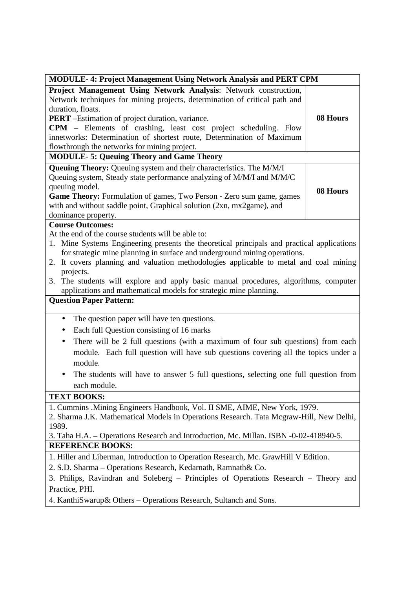| <b>MODULE-4: Project Management Using Network Analysis and PERT CPM</b>                                                                                                 |          |  |
|-------------------------------------------------------------------------------------------------------------------------------------------------------------------------|----------|--|
| Project Management Using Network Analysis: Network construction,                                                                                                        |          |  |
| Network techniques for mining projects, determination of critical path and                                                                                              |          |  |
| duration, floats.                                                                                                                                                       |          |  |
| <b>PERT</b> -Estimation of project duration, variance.                                                                                                                  | 08 Hours |  |
| <b>CPM</b> – Elements of crashing, least cost project scheduling. Flow                                                                                                  |          |  |
| innetworks: Determination of shortest route, Determination of Maximum                                                                                                   |          |  |
| flowthrough the networks for mining project.                                                                                                                            |          |  |
| <b>MODULE-5: Queuing Theory and Game Theory</b>                                                                                                                         |          |  |
| Queuing Theory: Queuing system and their characteristics. The M/M/I                                                                                                     |          |  |
| Queuing system, Steady state performance analyzing of M/M/I and M/M/C                                                                                                   |          |  |
| queuing model.                                                                                                                                                          | 08 Hours |  |
| Game Theory: Formulation of games, Two Person - Zero sum game, games                                                                                                    |          |  |
| with and without saddle point, Graphical solution (2xn, mx2game), and                                                                                                   |          |  |
| dominance property.                                                                                                                                                     |          |  |
| <b>Course Outcomes:</b>                                                                                                                                                 |          |  |
| At the end of the course students will be able to:                                                                                                                      |          |  |
| 1. Mine Systems Engineering presents the theoretical principals and practical applications<br>for strategic mine planning in surface and underground mining operations. |          |  |
| 2. It covers planning and valuation methodologies applicable to metal and coal mining                                                                                   |          |  |
| projects.                                                                                                                                                               |          |  |
| 3. The students will explore and apply basic manual procedures, algorithms, computer                                                                                    |          |  |
| applications and mathematical models for strategic mine planning.                                                                                                       |          |  |
| <b>Question Paper Pattern:</b>                                                                                                                                          |          |  |
|                                                                                                                                                                         |          |  |
| The question paper will have ten questions.<br>$\bullet$                                                                                                                |          |  |
| Each full Question consisting of 16 marks<br>٠                                                                                                                          |          |  |
| There will be 2 full questions (with a maximum of four sub questions) from each<br>$\bullet$                                                                            |          |  |
| module. Each full question will have sub questions covering all the topics under a                                                                                      |          |  |
| module.                                                                                                                                                                 |          |  |
| The students will have to answer 5 full questions, selecting one full question from                                                                                     |          |  |
| each module.                                                                                                                                                            |          |  |
| <b>TEXT BOOKS:</b>                                                                                                                                                      |          |  |
| 1. Cummins .Mining Engineers Handbook, Vol. II SME, AIME, New York, 1979.                                                                                               |          |  |
| 2. Sharma J.K. Mathematical Models in Operations Research. Tata Mcgraw-Hill, New Delhi,                                                                                 |          |  |
| 1989.                                                                                                                                                                   |          |  |
| 3. Taha H.A. - Operations Research and Introduction, Mc. Millan. ISBN -0-02-418940-5.                                                                                   |          |  |
| <b>REFERENCE BOOKS:</b>                                                                                                                                                 |          |  |
| 1. Hiller and Liberman, Introduction to Operation Research, Mc. GrawHill V Edition.                                                                                     |          |  |
| 2. S.D. Sharma - Operations Research, Kedarnath, Ramnath& Co.                                                                                                           |          |  |
| 3. Philips, Ravindran and Soleberg – Principles of Operations Research – Theory and                                                                                     |          |  |
| Practice, PHI.                                                                                                                                                          |          |  |
| 4. KanthiSwarup& Others – Operations Research, Sultanch and Sons.                                                                                                       |          |  |
|                                                                                                                                                                         |          |  |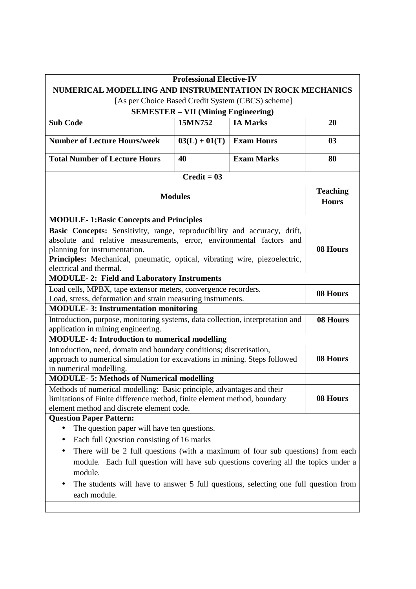|                                                                                                                                                                                                                                                                                            | <b>Professional Elective-IV</b> |                   |                                 |  |  |  |
|--------------------------------------------------------------------------------------------------------------------------------------------------------------------------------------------------------------------------------------------------------------------------------------------|---------------------------------|-------------------|---------------------------------|--|--|--|
| NUMERICAL MODELLING AND INSTRUMENTATION IN ROCK MECHANICS                                                                                                                                                                                                                                  |                                 |                   |                                 |  |  |  |
| [As per Choice Based Credit System (CBCS) scheme]                                                                                                                                                                                                                                          |                                 |                   |                                 |  |  |  |
| <b>SEMESTER - VII (Mining Engineering)</b>                                                                                                                                                                                                                                                 |                                 |                   |                                 |  |  |  |
| <b>Sub Code</b>                                                                                                                                                                                                                                                                            | 15MN752                         | <b>IA Marks</b>   | 20                              |  |  |  |
| <b>Number of Lecture Hours/week</b>                                                                                                                                                                                                                                                        | $03(L) + 01(T)$                 | <b>Exam Hours</b> | 03                              |  |  |  |
| <b>Total Number of Lecture Hours</b>                                                                                                                                                                                                                                                       | 40                              | <b>Exam Marks</b> | 80                              |  |  |  |
|                                                                                                                                                                                                                                                                                            | Credit = $0\overline{3}$        |                   |                                 |  |  |  |
| <b>Modules</b>                                                                                                                                                                                                                                                                             |                                 |                   | <b>Teaching</b><br><b>Hours</b> |  |  |  |
| <b>MODULE-1:Basic Concepts and Principles</b>                                                                                                                                                                                                                                              |                                 |                   |                                 |  |  |  |
| Basic Concepts: Sensitivity, range, reproducibility and accuracy, drift,<br>absolute and relative measurements, error, environmental factors and<br>planning for instrumentation.<br>Principles: Mechanical, pneumatic, optical, vibrating wire, piezoelectric,<br>electrical and thermal. |                                 |                   | 08 Hours                        |  |  |  |
| <b>MODULE-2: Field and Laboratory Instruments</b>                                                                                                                                                                                                                                          |                                 |                   |                                 |  |  |  |
| Load cells, MPBX, tape extensor meters, convergence recorders.<br>Load, stress, deformation and strain measuring instruments.                                                                                                                                                              |                                 |                   | 08 Hours                        |  |  |  |
| <b>MODULE-3: Instrumentation monitoring</b>                                                                                                                                                                                                                                                |                                 |                   |                                 |  |  |  |
| Introduction, purpose, monitoring systems, data collection, interpretation and<br>application in mining engineering.                                                                                                                                                                       | 08 Hours                        |                   |                                 |  |  |  |
| <b>MODULE-4: Introduction to numerical modelling</b>                                                                                                                                                                                                                                       |                                 |                   |                                 |  |  |  |
| Introduction, need, domain and boundary conditions; discretisation,<br>approach to numerical simulation for excavations in mining. Steps followed<br>in numerical modelling.                                                                                                               |                                 |                   | 08 Hours                        |  |  |  |
| <b>MODULE-5: Methods of Numerical modelling</b>                                                                                                                                                                                                                                            |                                 |                   |                                 |  |  |  |
| Methods of numerical modelling: Basic principle, advantages and their<br>limitations of Finite difference method, finite element method, boundary<br>element method and discrete element code.                                                                                             |                                 |                   | 08 Hours                        |  |  |  |
| <b>Question Paper Pattern:</b>                                                                                                                                                                                                                                                             |                                 |                   |                                 |  |  |  |
| The question paper will have ten questions.<br>$\bullet$<br>Each full Question consisting of 16 marks<br>There will be 2 full questions (with a maximum of four sub questions) from each                                                                                                   |                                 |                   |                                 |  |  |  |
| module. Each full question will have sub questions covering all the topics under a<br>module.<br>The students will have to answer 5 full questions, selecting one full question from                                                                                                       |                                 |                   |                                 |  |  |  |

each module.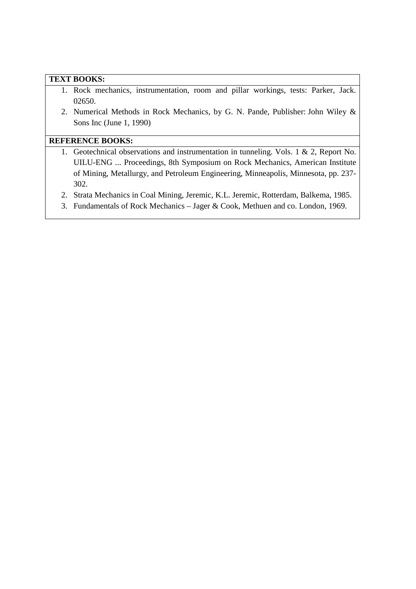#### **TEXT BOOKS:**

- 1. Rock mechanics, instrumentation, room and pillar workings, tests: Parker, Jack. 02650.
- 2. Numerical Methods in Rock Mechanics, by G. N. Pande, Publisher: John Wiley & Sons Inc (June 1, 1990)

## **REFERENCE BOOKS:**

- 1. Geotechnical observations and instrumentation in tunneling. Vols. 1 & 2, Report No. UILU-ENG ... Proceedings, 8th Symposium on Rock Mechanics, American Institute of Mining, Metallurgy, and Petroleum Engineering, Minneapolis, Minnesota, pp. 237- 302.
- 2. Strata Mechanics in Coal Mining, Jeremic, K.L. Jeremic, Rotterdam, Balkema, 1985.
- 3. Fundamentals of Rock Mechanics Jager & Cook, Methuen and co. London, 1969.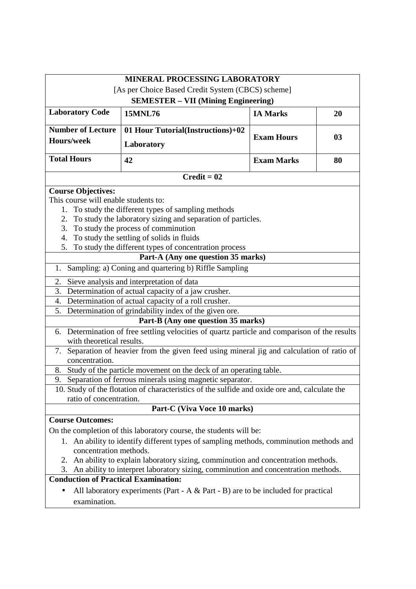|                                                                                                                  | MINERAL PROCESSING LABORATORY                                                                 |                   |    |  |  |  |
|------------------------------------------------------------------------------------------------------------------|-----------------------------------------------------------------------------------------------|-------------------|----|--|--|--|
| [As per Choice Based Credit System (CBCS) scheme]                                                                |                                                                                               |                   |    |  |  |  |
| <b>SEMESTER - VII (Mining Engineering)</b>                                                                       |                                                                                               |                   |    |  |  |  |
| <b>Laboratory Code</b>                                                                                           | <b>15MNL76</b>                                                                                | <b>IA Marks</b>   | 20 |  |  |  |
| <b>Number of Lecture</b>                                                                                         | 01 Hour Tutorial(Instructions)+02                                                             |                   |    |  |  |  |
| <b>Hours/week</b>                                                                                                | Laboratory                                                                                    | <b>Exam Hours</b> | 03 |  |  |  |
| <b>Total Hours</b>                                                                                               | 42                                                                                            | <b>Exam Marks</b> | 80 |  |  |  |
|                                                                                                                  | $Credit = 02$                                                                                 |                   |    |  |  |  |
| <b>Course Objectives:</b>                                                                                        |                                                                                               |                   |    |  |  |  |
| This course will enable students to:                                                                             |                                                                                               |                   |    |  |  |  |
| 1.                                                                                                               | To study the different types of sampling methods                                              |                   |    |  |  |  |
| 2.                                                                                                               | To study the laboratory sizing and separation of particles.                                   |                   |    |  |  |  |
| 3.                                                                                                               | To study the process of comminution                                                           |                   |    |  |  |  |
| 4.                                                                                                               | To study the settling of solids in fluids                                                     |                   |    |  |  |  |
| 5.                                                                                                               | To study the different types of concentration process                                         |                   |    |  |  |  |
|                                                                                                                  | Part-A (Any one question 35 marks)                                                            |                   |    |  |  |  |
| Sampling: a) Coning and quartering b) Riffle Sampling<br>1.                                                      |                                                                                               |                   |    |  |  |  |
| 2.                                                                                                               | Sieve analysis and interpretation of data                                                     |                   |    |  |  |  |
| 3.                                                                                                               | Determination of actual capacity of a jaw crusher.                                            |                   |    |  |  |  |
|                                                                                                                  | 4. Determination of actual capacity of a roll crusher.                                        |                   |    |  |  |  |
|                                                                                                                  | 5. Determination of grindability index of the given ore.                                      |                   |    |  |  |  |
|                                                                                                                  | Part-B (Any one question 35 marks)                                                            |                   |    |  |  |  |
| with theoretical results.                                                                                        | 6. Determination of free settling velocities of quartz particle and comparison of the results |                   |    |  |  |  |
|                                                                                                                  | 7. Separation of heavier from the given feed using mineral jig and calculation of ratio of    |                   |    |  |  |  |
| concentration.                                                                                                   |                                                                                               |                   |    |  |  |  |
| Study of the particle movement on the deck of an operating table.<br>8.                                          |                                                                                               |                   |    |  |  |  |
|                                                                                                                  | 9. Separation of ferrous minerals using magnetic separator.                                   |                   |    |  |  |  |
|                                                                                                                  | 10. Study of the flotation of characteristics of the sulfide and oxide ore and, calculate the |                   |    |  |  |  |
| ratio of concentration.                                                                                          |                                                                                               |                   |    |  |  |  |
| Part-C (Viva Voce 10 marks)                                                                                      |                                                                                               |                   |    |  |  |  |
|                                                                                                                  | <b>Course Outcomes:</b>                                                                       |                   |    |  |  |  |
| On the completion of this laboratory course, the students will be:                                               |                                                                                               |                   |    |  |  |  |
| 1. An ability to identify different types of sampling methods, comminution methods and<br>concentration methods. |                                                                                               |                   |    |  |  |  |
| An ability to explain laboratory sizing, comminution and concentration methods.<br>2.                            |                                                                                               |                   |    |  |  |  |
| An ability to interpret laboratory sizing, comminution and concentration methods.<br>3.                          |                                                                                               |                   |    |  |  |  |
| <b>Conduction of Practical Examination:</b>                                                                      |                                                                                               |                   |    |  |  |  |
|                                                                                                                  | All laboratory experiments (Part - A $&$ Part - B) are to be included for practical           |                   |    |  |  |  |
| examination.                                                                                                     |                                                                                               |                   |    |  |  |  |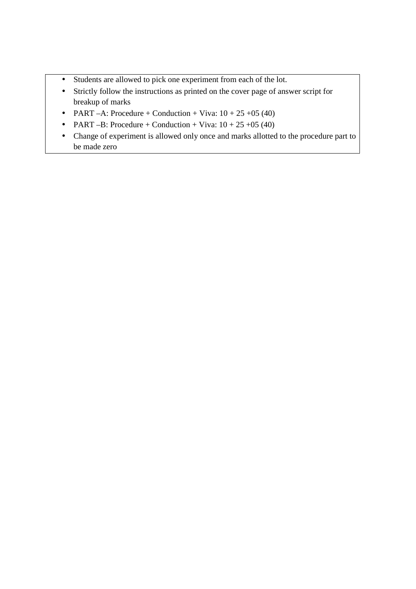- Students are allowed to pick one experiment from each of the lot.
- Strictly follow the instructions as printed on the cover page of answer script for breakup of marks
- PART –A: Procedure + Conduction + Viva:  $10 + 25 + 05$  (40)
- PART –B: Procedure + Conduction + Viva:  $10 + 25 + 05$  (40)
- Change of experiment is allowed only once and marks allotted to the procedure part to be made zero